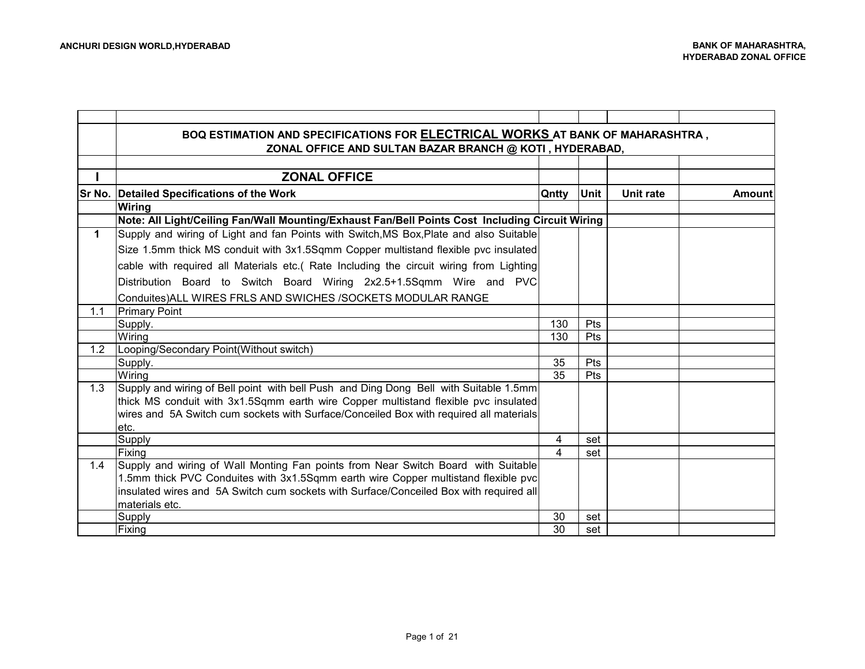|             | BOQ ESTIMATION AND SPECIFICATIONS FOR ELECTRICAL WORKS AT BANK OF MAHARASHTRA,                  |       |             |           |               |
|-------------|-------------------------------------------------------------------------------------------------|-------|-------------|-----------|---------------|
|             | ZONAL OFFICE AND SULTAN BAZAR BRANCH @ KOTI, HYDERABAD,                                         |       |             |           |               |
|             |                                                                                                 |       |             |           |               |
|             | <b>ZONAL OFFICE</b>                                                                             |       |             |           |               |
|             | Sr No. Detailed Specifications of the Work                                                      | Qntty | <b>Unit</b> | Unit rate | <b>Amount</b> |
|             | <b>Wiring</b>                                                                                   |       |             |           |               |
|             | Note: All Light/Ceiling Fan/Wall Mounting/Exhaust Fan/Bell Points Cost Including Circuit Wiring |       |             |           |               |
| $\mathbf 1$ | Supply and wiring of Light and fan Points with Switch, MS Box, Plate and also Suitable          |       |             |           |               |
|             | Size 1.5mm thick MS conduit with 3x1.5Sqmm Copper multistand flexible pvc insulated             |       |             |           |               |
|             | cable with required all Materials etc.( Rate Including the circuit wiring from Lighting         |       |             |           |               |
|             | Distribution Board to Switch Board Wiring 2x2.5+1.5Sqmm Wire and PVC                            |       |             |           |               |
|             | Conduites) ALL WIRES FRLS AND SWICHES / SOCKETS MODULAR RANGE                                   |       |             |           |               |
| 1.1         | <b>Primary Point</b>                                                                            |       |             |           |               |
|             | Supply.                                                                                         | 130   | <b>Pts</b>  |           |               |
|             | Wiring                                                                                          | 130   | <b>Pts</b>  |           |               |
| 1.2         | Looping/Secondary Point(Without switch)                                                         |       |             |           |               |
|             | Supply.                                                                                         | 35    | Pts         |           |               |
|             | Wiring                                                                                          | 35    | <b>Pts</b>  |           |               |
| 1.3         | Supply and wiring of Bell point with bell Push and Ding Dong Bell with Suitable 1.5mm           |       |             |           |               |
|             | thick MS conduit with 3x1.5Sqmm earth wire Copper multistand flexible pvc insulated             |       |             |           |               |
|             | wires and 5A Switch cum sockets with Surface/Conceiled Box with required all materials          |       |             |           |               |
|             | letc.                                                                                           |       |             |           |               |
|             | Supply                                                                                          | 4     | set         |           |               |
|             | Fixing                                                                                          | 4     | set         |           |               |
| 1.4         | Supply and wiring of Wall Monting Fan points from Near Switch Board with Suitable               |       |             |           |               |
|             | 1.5mm thick PVC Conduites with 3x1.5Sqmm earth wire Copper multistand flexible pvc              |       |             |           |               |
|             | insulated wires and 5A Switch cum sockets with Surface/Conceiled Box with required all          |       |             |           |               |
|             | materials etc.                                                                                  |       |             |           |               |
|             | <b>Supply</b>                                                                                   | 30    | set         |           |               |
|             | Fixing                                                                                          | 30    | set         |           |               |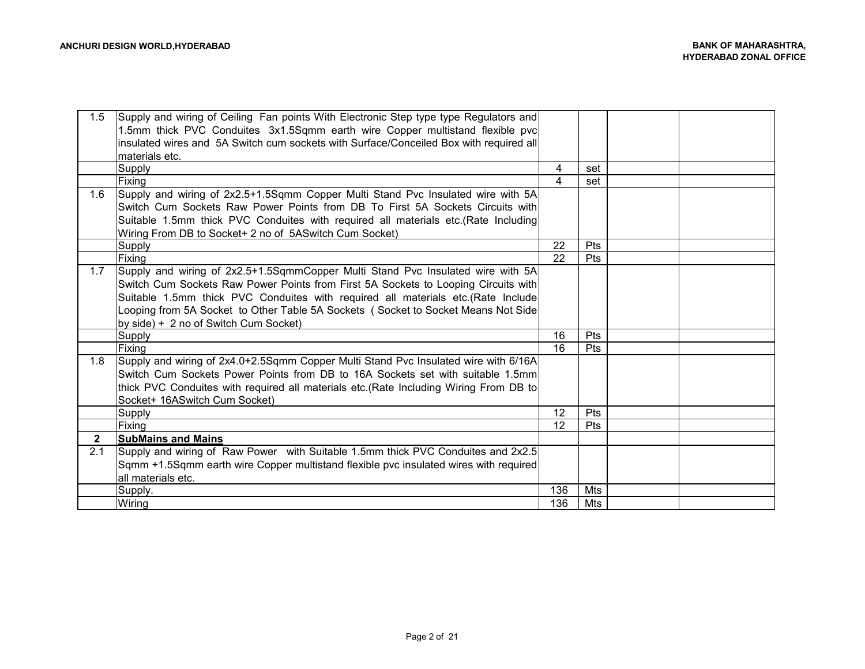| 1.5          | Supply and wiring of Ceiling Fan points With Electronic Step type type Regulators and  |     |     |  |
|--------------|----------------------------------------------------------------------------------------|-----|-----|--|
|              | 1.5mm thick PVC Conduites 3x1.5Sqmm earth wire Copper multistand flexible pvc          |     |     |  |
|              | insulated wires and 5A Switch cum sockets with Surface/Conceiled Box with required all |     |     |  |
|              | materials etc.                                                                         |     |     |  |
|              | <b>Supply</b>                                                                          | 4   | set |  |
|              | Fixing                                                                                 | 4   | set |  |
| 1.6          | Supply and wiring of 2x2.5+1.5Sqmm Copper Multi Stand Pvc Insulated wire with 5A       |     |     |  |
|              | Switch Cum Sockets Raw Power Points from DB To First 5A Sockets Circuits with          |     |     |  |
|              | Suitable 1.5mm thick PVC Conduites with required all materials etc. (Rate Including    |     |     |  |
|              | Wiring From DB to Socket+ 2 no of 5ASwitch Cum Socket)                                 |     |     |  |
|              | <b>Supply</b>                                                                          | 22  | Pts |  |
|              | Fixing                                                                                 | 22  | Pts |  |
| 1.7          | Supply and wiring of 2x2.5+1.5SgmmCopper Multi Stand Pvc Insulated wire with 5A        |     |     |  |
|              | Switch Cum Sockets Raw Power Points from First 5A Sockets to Looping Circuits with     |     |     |  |
|              | Suitable 1.5mm thick PVC Conduites with required all materials etc.(Rate Include       |     |     |  |
|              | Looping from 5A Socket to Other Table 5A Sockets (Socket to Socket Means Not Side      |     |     |  |
|              | by side) + 2 no of Switch Cum Socket)                                                  |     |     |  |
|              | Supply                                                                                 | 16  | Pts |  |
|              | Fixing                                                                                 | 16  | Pts |  |
| 1.8          | Supply and wiring of 2x4.0+2.5Sqmm Copper Multi Stand Pvc Insulated wire with 6/16A    |     |     |  |
|              | Switch Cum Sockets Power Points from DB to 16A Sockets set with suitable 1.5mml        |     |     |  |
|              | thick PVC Conduites with required all materials etc.(Rate Including Wiring From DB to  |     |     |  |
|              | Socket+ 16ASwitch Cum Socket)                                                          |     |     |  |
|              | <b>Supply</b>                                                                          | 12  | Pts |  |
|              | Fixing                                                                                 | 12  | Pts |  |
| $\mathbf{2}$ | <b>SubMains and Mains</b>                                                              |     |     |  |
| 2.1          | Supply and wiring of Raw Power with Suitable 1.5mm thick PVC Conduites and 2x2.5       |     |     |  |
|              | Sqmm +1.5Sqmm earth wire Copper multistand flexible pvc insulated wires with required  |     |     |  |
|              | all materials etc.                                                                     |     |     |  |
|              | Supply.                                                                                | 136 | Mts |  |
|              | Wiring                                                                                 | 136 | Mts |  |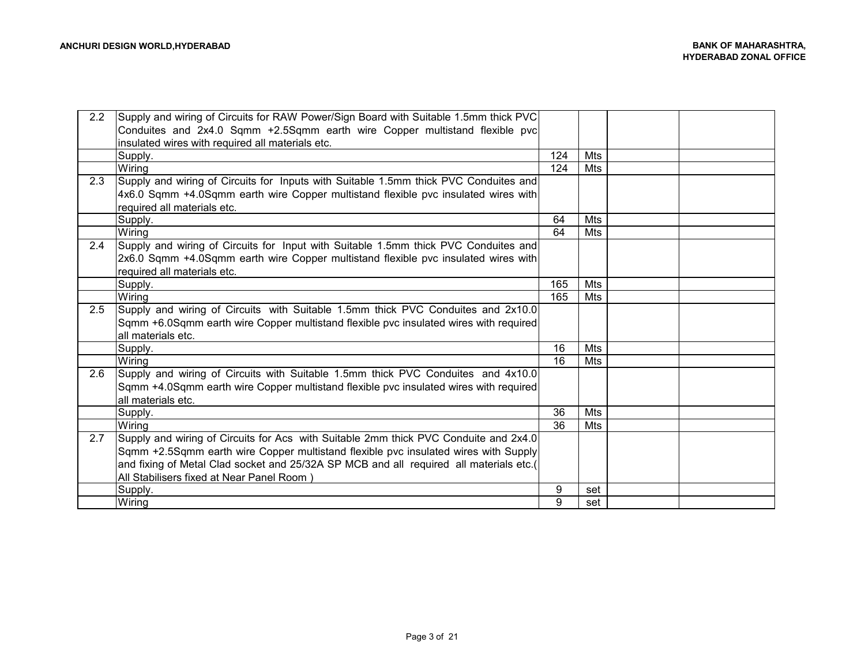| 2.2 | Supply and wiring of Circuits for RAW Power/Sign Board with Suitable 1.5mm thick PVC   |     |     |  |
|-----|----------------------------------------------------------------------------------------|-----|-----|--|
|     | Conduites and 2x4.0 Sqmm +2.5Sqmm earth wire Copper multistand flexible pvc            |     |     |  |
|     | insulated wires with required all materials etc.                                       |     |     |  |
|     | Supply.                                                                                | 124 | Mts |  |
|     | Wiring                                                                                 | 124 | Mts |  |
| 2.3 | Supply and wiring of Circuits for Inputs with Suitable 1.5mm thick PVC Conduites and   |     |     |  |
|     | 4x6.0 Sqmm +4.0Sqmm earth wire Copper multistand flexible pvc insulated wires with     |     |     |  |
|     | required all materials etc.                                                            |     |     |  |
|     | Supply.                                                                                | 64  | Mts |  |
|     | Wiring                                                                                 | 64  | Mts |  |
| 2.4 | Supply and wiring of Circuits for Input with Suitable 1.5mm thick PVC Conduites and    |     |     |  |
|     | 2x6.0 Sqmm +4.0Sqmm earth wire Copper multistand flexible pvc insulated wires with     |     |     |  |
|     | required all materials etc.                                                            |     |     |  |
|     | Supply.                                                                                | 165 | Mts |  |
|     | Wiring                                                                                 | 165 | Mts |  |
| 2.5 | Supply and wiring of Circuits with Suitable 1.5mm thick PVC Conduites and 2x10.0       |     |     |  |
|     | Sqmm +6.0Sqmm earth wire Copper multistand flexible pvc insulated wires with required  |     |     |  |
|     | all materials etc.                                                                     |     |     |  |
|     | Supply.                                                                                | 16  | Mts |  |
|     | Wiring                                                                                 | 16  | Mts |  |
| 2.6 | Supply and wiring of Circuits with Suitable 1.5mm thick PVC Conduites and 4x10.0       |     |     |  |
|     | Sqmm +4.0Sqmm earth wire Copper multistand flexible pvc insulated wires with required  |     |     |  |
|     | all materials etc.                                                                     |     |     |  |
|     | Supply.                                                                                | 36  | Mts |  |
|     | Wiring                                                                                 | 36  | Mts |  |
| 2.7 | Supply and wiring of Circuits for Acs with Suitable 2mm thick PVC Conduite and 2x4.0   |     |     |  |
|     | Sqmm +2.5Sqmm earth wire Copper multistand flexible pvc insulated wires with Supply    |     |     |  |
|     | and fixing of Metal Clad socket and 25/32A SP MCB and all required all materials etc.( |     |     |  |
|     | All Stabilisers fixed at Near Panel Room)                                              |     |     |  |
|     | Supply.                                                                                | 9   | set |  |
|     | Wiring                                                                                 | 9   | set |  |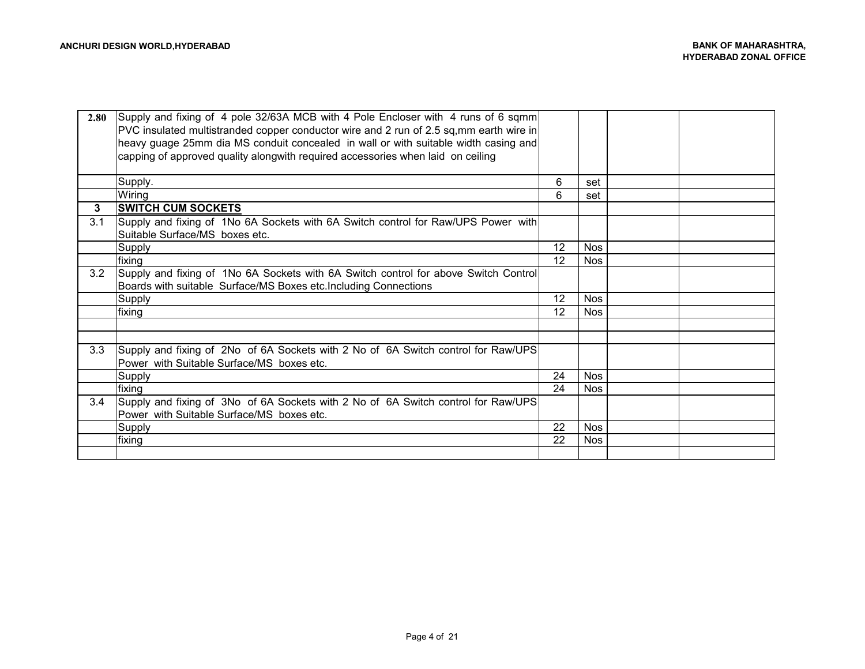| 2.80 | Supply and fixing of 4 pole 32/63A MCB with 4 Pole Encloser with 4 runs of 6 sqmm<br>PVC insulated multistranded copper conductor wire and 2 run of 2.5 sq,mm earth wire in<br>heavy guage 25mm dia MS conduit concealed in wall or with suitable width casing and<br>capping of approved quality alongwith required accessories when laid on ceiling |    |            |  |
|------|-------------------------------------------------------------------------------------------------------------------------------------------------------------------------------------------------------------------------------------------------------------------------------------------------------------------------------------------------------|----|------------|--|
|      | Supply.                                                                                                                                                                                                                                                                                                                                               | 6  | set        |  |
|      | Wiring                                                                                                                                                                                                                                                                                                                                                | 6  | set        |  |
| 3    | <b>SWITCH CUM SOCKETS</b>                                                                                                                                                                                                                                                                                                                             |    |            |  |
| 3.1  | Supply and fixing of 1No 6A Sockets with 6A Switch control for Raw/UPS Power with<br>Suitable Surface/MS boxes etc.                                                                                                                                                                                                                                   |    |            |  |
|      | <b>Supply</b>                                                                                                                                                                                                                                                                                                                                         | 12 | <b>Nos</b> |  |
|      | fixing                                                                                                                                                                                                                                                                                                                                                | 12 | <b>Nos</b> |  |
| 3.2  | Supply and fixing of 1No 6A Sockets with 6A Switch control for above Switch Control<br>Boards with suitable Surface/MS Boxes etc. Including Connections                                                                                                                                                                                               |    |            |  |
|      | <b>Supply</b>                                                                                                                                                                                                                                                                                                                                         | 12 | <b>Nos</b> |  |
|      | fixing                                                                                                                                                                                                                                                                                                                                                | 12 | <b>Nos</b> |  |
|      |                                                                                                                                                                                                                                                                                                                                                       |    |            |  |
|      |                                                                                                                                                                                                                                                                                                                                                       |    |            |  |
| 3.3  | Supply and fixing of 2No of 6A Sockets with 2 No of 6A Switch control for Raw/UPS<br>Power with Suitable Surface/MS boxes etc.                                                                                                                                                                                                                        |    |            |  |
|      | Supply                                                                                                                                                                                                                                                                                                                                                | 24 | <b>Nos</b> |  |
|      | fixing                                                                                                                                                                                                                                                                                                                                                | 24 | <b>Nos</b> |  |
| 3.4  | Supply and fixing of 3No of 6A Sockets with 2 No of 6A Switch control for Raw/UPS<br>Power with Suitable Surface/MS boxes etc.                                                                                                                                                                                                                        |    |            |  |
|      | Supply                                                                                                                                                                                                                                                                                                                                                | 22 | <b>Nos</b> |  |
|      | fixing                                                                                                                                                                                                                                                                                                                                                | 22 | <b>Nos</b> |  |
|      |                                                                                                                                                                                                                                                                                                                                                       |    |            |  |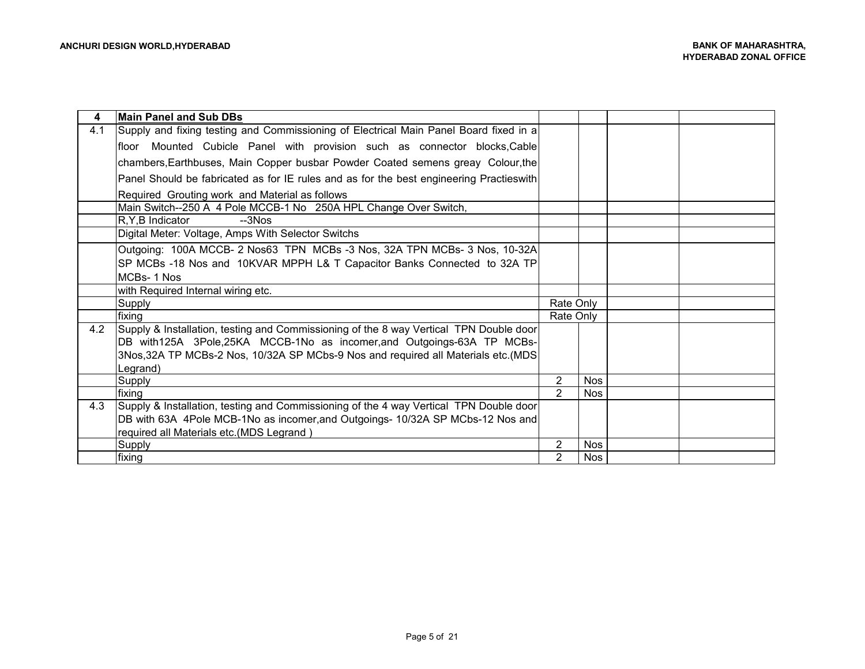| 4   | Main Panel and Sub DBs                                                                                                                                                                                                                                 |                |            |  |
|-----|--------------------------------------------------------------------------------------------------------------------------------------------------------------------------------------------------------------------------------------------------------|----------------|------------|--|
| 4.1 | Supply and fixing testing and Commissioning of Electrical Main Panel Board fixed in a                                                                                                                                                                  |                |            |  |
|     | floor Mounted Cubicle Panel with provision such as connector blocks, Cable                                                                                                                                                                             |                |            |  |
|     | chambers, Earthbuses, Main Copper busbar Powder Coated semens greay Colour, the                                                                                                                                                                        |                |            |  |
|     | Panel Should be fabricated as for IE rules and as for the best engineering Practieswith                                                                                                                                                                |                |            |  |
|     | Required Grouting work and Material as follows                                                                                                                                                                                                         |                |            |  |
|     | Main Switch--250 A 4 Pole MCCB-1 No 250A HPL Change Over Switch,                                                                                                                                                                                       |                |            |  |
|     | <b>R.Y.B Indicator</b><br>$-3Nos$                                                                                                                                                                                                                      |                |            |  |
|     | Digital Meter: Voltage, Amps With Selector Switchs                                                                                                                                                                                                     |                |            |  |
|     | Outgoing: 100A MCCB- 2 Nos63 TPN MCBs-3 Nos, 32A TPN MCBs- 3 Nos, 10-32A                                                                                                                                                                               |                |            |  |
|     | SP MCBs -18 Nos and 10KVAR MPPH L& T Capacitor Banks Connected to 32A TP                                                                                                                                                                               |                |            |  |
|     | MCBs-1 Nos                                                                                                                                                                                                                                             |                |            |  |
|     | with Required Internal wiring etc.                                                                                                                                                                                                                     |                |            |  |
|     | Supply                                                                                                                                                                                                                                                 | Rate Only      |            |  |
|     | fixing                                                                                                                                                                                                                                                 | Rate Only      |            |  |
| 4.2 | Supply & Installation, testing and Commissioning of the 8 way Vertical TPN Double door<br>DB with125A 3Pole,25KA MCCB-1No as incomer, and Outgoings-63A TP MCBs-<br>3Nos, 32A TP MCBs-2 Nos, 10/32A SP MCbs-9 Nos and required all Materials etc. (MDS |                |            |  |
|     | Legrand)                                                                                                                                                                                                                                               |                |            |  |
|     | Supply                                                                                                                                                                                                                                                 | 2              | <b>Nos</b> |  |
|     | fixing                                                                                                                                                                                                                                                 | 2              | <b>Nos</b> |  |
| 4.3 | Supply & Installation, testing and Commissioning of the 4 way Vertical TPN Double door                                                                                                                                                                 |                |            |  |
|     | DB with 63A 4Pole MCB-1No as incomer, and Outgoings-10/32A SP MCbs-12 Nos and                                                                                                                                                                          |                |            |  |
|     | required all Materials etc.(MDS Legrand)                                                                                                                                                                                                               |                |            |  |
|     | Supply                                                                                                                                                                                                                                                 | 2              | <b>Nos</b> |  |
|     | fixing                                                                                                                                                                                                                                                 | $\overline{2}$ | <b>Nos</b> |  |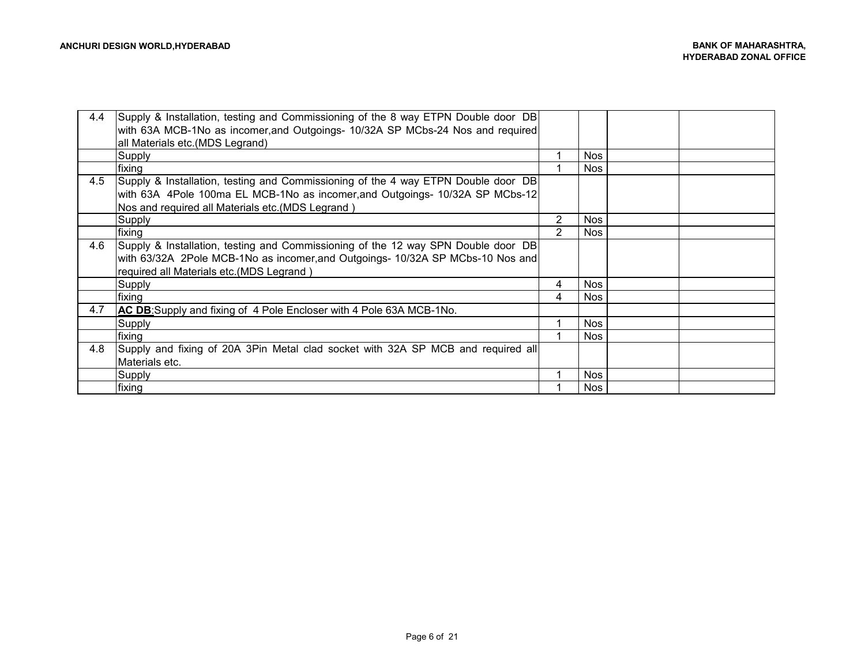| 4.4 | Supply & Installation, testing and Commissioning of the 8 way ETPN Double door DB |                |            |  |
|-----|-----------------------------------------------------------------------------------|----------------|------------|--|
|     | with 63A MCB-1No as incomer, and Outgoings- 10/32A SP MCbs-24 Nos and required    |                |            |  |
|     | all Materials etc.(MDS Legrand)                                                   |                |            |  |
|     | Supply                                                                            |                | <b>Nos</b> |  |
|     |                                                                                   |                |            |  |
|     | fixing                                                                            |                | <b>Nos</b> |  |
| 4.5 | Supply & Installation, testing and Commissioning of the 4 way ETPN Double door DB |                |            |  |
|     | with 63A 4Pole 100ma EL MCB-1No as incomer, and Outgoings- 10/32A SP MCbs-12      |                |            |  |
|     | Nos and required all Materials etc. (MDS Legrand)                                 |                |            |  |
|     | Supply                                                                            | $\overline{2}$ | <b>Nos</b> |  |
|     | fixing                                                                            | 2              | Nos        |  |
| 4.6 | Supply & Installation, testing and Commissioning of the 12 way SPN Double door DB |                |            |  |
|     | with 63/32A 2Pole MCB-1No as incomer, and Outgoings- 10/32A SP MCbs-10 Nos and    |                |            |  |
|     | required all Materials etc.(MDS Legrand)                                          |                |            |  |
|     | Supply                                                                            | 4              | <b>Nos</b> |  |
|     | fixing                                                                            |                | Nos.       |  |
| 4.7 | AC DB:Supply and fixing of 4 Pole Encloser with 4 Pole 63A MCB-1No.               |                |            |  |
|     | Supply                                                                            |                | <b>Nos</b> |  |
|     | fixing                                                                            |                | <b>Nos</b> |  |
| 4.8 | Supply and fixing of 20A 3Pin Metal clad socket with 32A SP MCB and required all  |                |            |  |
|     | Materials etc.                                                                    |                |            |  |
|     | Supply                                                                            |                | Nos.       |  |
|     | <b>Ifixing</b>                                                                    |                | Nos.       |  |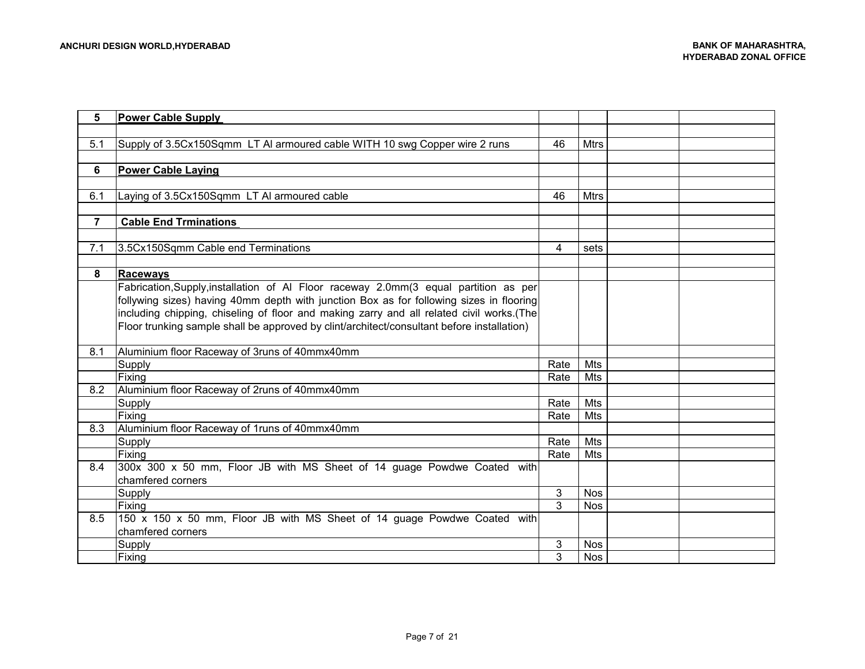| 5              | <b>Power Cable Supply</b>                                                                  |      |             |  |
|----------------|--------------------------------------------------------------------------------------------|------|-------------|--|
|                |                                                                                            |      |             |  |
| 5.1            | Supply of 3.5Cx150Sqmm LT AI armoured cable WITH 10 swg Copper wire 2 runs                 | 46   | <b>Mtrs</b> |  |
|                |                                                                                            |      |             |  |
| 6              | <b>Power Cable Laying</b>                                                                  |      |             |  |
|                |                                                                                            |      |             |  |
| 6.1            | Laying of 3.5Cx150Sqmm LT AI armoured cable                                                | 46   | <b>Mtrs</b> |  |
|                |                                                                                            |      |             |  |
| $\overline{7}$ | <b>Cable End Trminations</b>                                                               |      |             |  |
|                |                                                                                            |      |             |  |
| 7.1            | 3.5Cx150Sqmm Cable end Terminations                                                        | 4    | sets        |  |
|                |                                                                                            |      |             |  |
| 8              | <b>Raceways</b>                                                                            |      |             |  |
|                | Fabrication, Supply, installation of AI Floor raceway 2.0mm(3 equal partition as per       |      |             |  |
|                | follywing sizes) having 40mm depth with junction Box as for following sizes in flooring    |      |             |  |
|                | including chipping, chiseling of floor and making zarry and all related civil works.(The   |      |             |  |
|                | Floor trunking sample shall be approved by clint/architect/consultant before installation) |      |             |  |
|                |                                                                                            |      |             |  |
| 8.1            | Aluminium floor Raceway of 3runs of 40mmx40mm                                              |      |             |  |
|                | Supply                                                                                     | Rate | Mts         |  |
|                | Fixing                                                                                     | Rate | Mts         |  |
| 8.2            | Aluminium floor Raceway of 2runs of 40mmx40mm                                              |      |             |  |
|                | Supply                                                                                     | Rate | Mts         |  |
|                | Fixing                                                                                     | Rate | Mts         |  |
| 8.3            | Aluminium floor Raceway of 1runs of 40mmx40mm                                              |      |             |  |
|                | Supply                                                                                     | Rate | Mts         |  |
|                | Fixing                                                                                     | Rate | Mts         |  |
| 8.4            | 300x 300 x 50 mm, Floor JB with MS Sheet of 14 guage Powdwe Coated with                    |      |             |  |
|                | chamfered corners                                                                          |      |             |  |
|                | Supply                                                                                     | 3    | <b>Nos</b>  |  |
|                | Fixing                                                                                     | 3    | <b>Nos</b>  |  |
| 8.5            | 150 x 150 x 50 mm, Floor JB with MS Sheet of 14 guage Powdwe Coated with                   |      |             |  |
|                | chamfered corners                                                                          |      |             |  |
|                | Supply                                                                                     | 3    | <b>Nos</b>  |  |
|                | Fixing                                                                                     | 3    | <b>Nos</b>  |  |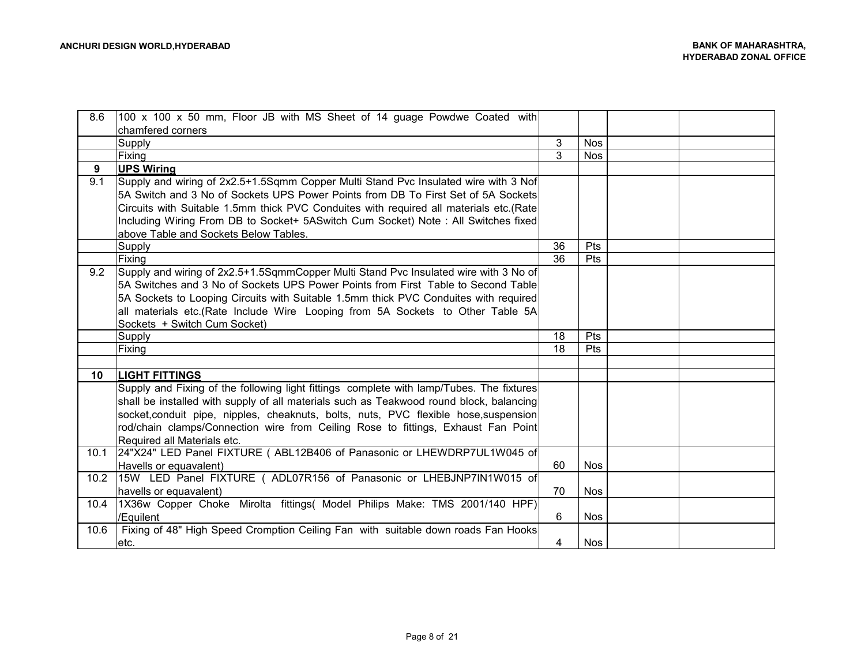| 8.6  | 100 x 100 x 50 mm, Floor JB with MS Sheet of 14 guage Powdwe Coated with                 |    |            |  |
|------|------------------------------------------------------------------------------------------|----|------------|--|
|      | chamfered corners                                                                        |    |            |  |
|      | Supply                                                                                   | 3  | <b>Nos</b> |  |
|      | Fixing                                                                                   | 3  | <b>Nos</b> |  |
| 9    | <b>UPS Wiring</b>                                                                        |    |            |  |
| 9.1  | Supply and wiring of 2x2.5+1.5Sqmm Copper Multi Stand Pvc Insulated wire with 3 Nof      |    |            |  |
|      | 5A Switch and 3 No of Sockets UPS Power Points from DB To First Set of 5A Sockets        |    |            |  |
|      | Circuits with Suitable 1.5mm thick PVC Conduites with required all materials etc.(Rate   |    |            |  |
|      | Including Wiring From DB to Socket+ 5ASwitch Cum Socket) Note: All Switches fixed        |    |            |  |
|      | above Table and Sockets Below Tables.                                                    |    |            |  |
|      | Supply                                                                                   | 36 | Pts        |  |
|      | Fixing                                                                                   | 36 | Pts        |  |
| 9.2  | Supply and wiring of 2x2.5+1.5SqmmCopper Multi Stand Pvc Insulated wire with 3 No of     |    |            |  |
|      | 5A Switches and 3 No of Sockets UPS Power Points from First Table to Second Table        |    |            |  |
|      | 5A Sockets to Looping Circuits with Suitable 1.5mm thick PVC Conduites with required     |    |            |  |
|      | all materials etc. (Rate Include Wire Looping from 5A Sockets to Other Table 5A          |    |            |  |
|      | Sockets + Switch Cum Socket)                                                             |    |            |  |
|      | Supply                                                                                   | 18 | Pts        |  |
|      | Fixing                                                                                   | 18 | Pts        |  |
|      |                                                                                          |    |            |  |
| 10   | <b>LIGHT FITTINGS</b>                                                                    |    |            |  |
|      | Supply and Fixing of the following light fittings complete with lamp/Tubes. The fixtures |    |            |  |
|      | shall be installed with supply of all materials such as Teakwood round block, balancing  |    |            |  |
|      | socket, conduit pipe, nipples, cheaknuts, bolts, nuts, PVC flexible hose, suspension     |    |            |  |
|      | rod/chain clamps/Connection wire from Ceiling Rose to fittings, Exhaust Fan Point        |    |            |  |
|      | Required all Materials etc.                                                              |    |            |  |
| 10.1 | 24"X24" LED Panel FIXTURE ( ABL12B406 of Panasonic or LHEWDRP7UL1W045 of                 |    |            |  |
|      | Havells or equavalent)                                                                   | 60 | <b>Nos</b> |  |
| 10.2 | 15W LED Panel FIXTURE ( ADL07R156 of Panasonic or LHEBJNP7IN1W015 of                     |    |            |  |
|      | havells or equavalent)                                                                   | 70 | <b>Nos</b> |  |
| 10.4 | 1X36w Copper Choke Mirolta fittings( Model Philips Make: TMS 2001/140 HPF)               |    |            |  |
|      | /Equilent                                                                                | 6  | <b>Nos</b> |  |
| 10.6 | Fixing of 48" High Speed Cromption Ceiling Fan with suitable down roads Fan Hooks        |    |            |  |
|      | etc.                                                                                     | 4  | <b>Nos</b> |  |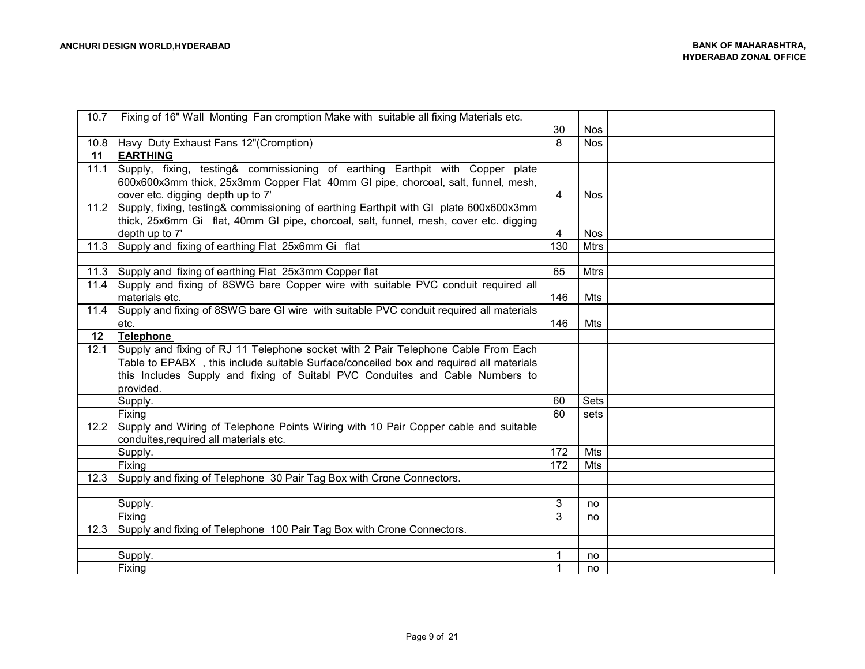| 10.7 | Fixing of 16" Wall Monting Fan cromption Make with suitable all fixing Materials etc.   | 30  | <b>Nos</b>  |  |
|------|-----------------------------------------------------------------------------------------|-----|-------------|--|
| 10.8 | Havy Duty Exhaust Fans 12" (Cromption)                                                  | 8   | <b>Nos</b>  |  |
| 11   | <b>EARTHING</b>                                                                         |     |             |  |
| 11.1 | Supply, fixing, testing& commissioning of earthing Earthpit with Copper plate           |     |             |  |
|      | 600x600x3mm thick, 25x3mm Copper Flat 40mm GI pipe, chorcoal, salt, funnel, mesh,       |     |             |  |
|      | cover etc. digging depth up to 7'                                                       | 4   | <b>Nos</b>  |  |
| 11.2 | Supply, fixing, testing& commissioning of earthing Earthpit with GI plate 600x600x3mm   |     |             |  |
|      | thick, 25x6mm Gi flat, 40mm GI pipe, chorcoal, salt, funnel, mesh, cover etc. digging   |     |             |  |
|      | depth up to 7'                                                                          | 4   | Nos         |  |
| 11.3 | Supply and fixing of earthing Flat 25x6mm Gi flat                                       | 130 | <b>Mtrs</b> |  |
|      |                                                                                         |     |             |  |
| 11.3 | Supply and fixing of earthing Flat 25x3mm Copper flat                                   | 65  | <b>Mtrs</b> |  |
| 11.4 | Supply and fixing of 8SWG bare Copper wire with suitable PVC conduit required all       |     |             |  |
|      | materials etc.                                                                          | 146 | Mts         |  |
| 11.4 | Supply and fixing of 8SWG bare GI wire with suitable PVC conduit required all materials |     |             |  |
|      | etc.                                                                                    | 146 | Mts         |  |
| 12   | Telephone                                                                               |     |             |  |
| 12.1 | Supply and fixing of RJ 11 Telephone socket with 2 Pair Telephone Cable From Each       |     |             |  |
|      | Table to EPABX, this include suitable Surface/conceiled box and required all materials  |     |             |  |
|      | this Includes Supply and fixing of Suitabl PVC Conduites and Cable Numbers to           |     |             |  |
|      | provided.                                                                               |     |             |  |
|      | Supply.                                                                                 | 60  | Sets        |  |
|      | Fixing                                                                                  | 60  | sets        |  |
| 12.2 | Supply and Wiring of Telephone Points Wiring with 10 Pair Copper cable and suitable     |     |             |  |
|      | conduites, required all materials etc.                                                  |     |             |  |
|      | Supply.                                                                                 | 172 | Mts         |  |
|      | Fixing                                                                                  | 172 | Mts         |  |
| 12.3 | Supply and fixing of Telephone 30 Pair Tag Box with Crone Connectors.                   |     |             |  |
|      |                                                                                         |     |             |  |
|      | Supply.                                                                                 | 3   | no          |  |
|      | Fixing                                                                                  | 3   | no          |  |
| 12.3 | Supply and fixing of Telephone 100 Pair Tag Box with Crone Connectors.                  |     |             |  |
|      |                                                                                         |     |             |  |
|      | Supply.                                                                                 |     | no          |  |
|      | Fixing                                                                                  | 1   | no.         |  |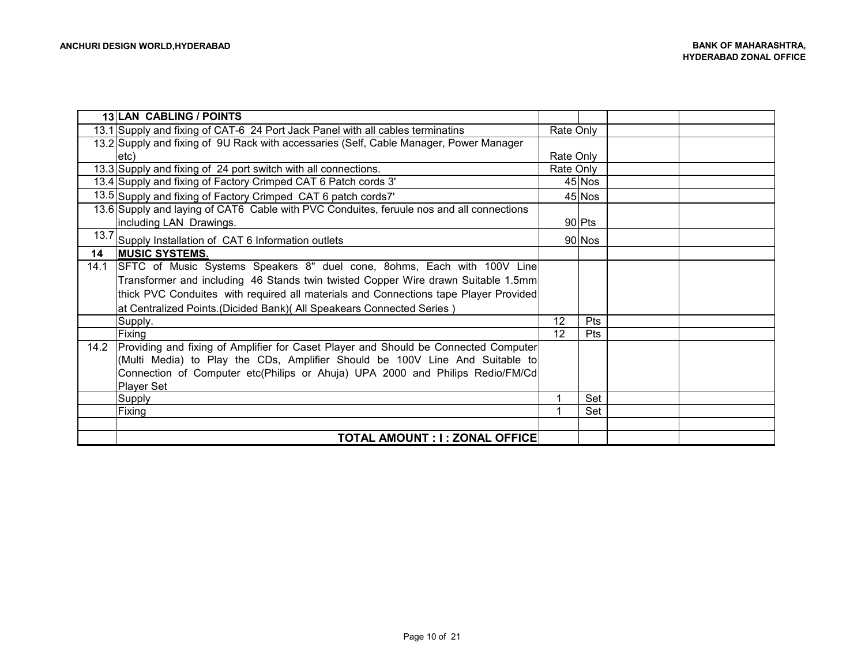|      | 13 LAN CABLING / POINTS                                                                  |           |            |  |
|------|------------------------------------------------------------------------------------------|-----------|------------|--|
|      | 13.1 Supply and fixing of CAT-6 24 Port Jack Panel with all cables terminatins           | Rate Only |            |  |
|      | 13.2 Supply and fixing of 9U Rack with accessaries (Self, Cable Manager, Power Manager   |           |            |  |
|      | letc)                                                                                    | Rate Only |            |  |
|      | 13.3 Supply and fixing of 24 port switch with all connections.                           | Rate Only |            |  |
|      | 13.4 Supply and fixing of Factory Crimped CAT 6 Patch cords 3'                           |           | 45 Nos     |  |
|      | 13.5 Supply and fixing of Factory Crimped CAT 6 patch cords7'                            |           | 45 Nos     |  |
|      | 13.6 Supply and laying of CAT6 Cable with PVC Conduites, feruule nos and all connections |           |            |  |
|      | including LAN Drawings.                                                                  |           | 90 Pts     |  |
| 13.7 | Supply Installation of CAT 6 Information outlets                                         |           | 90 Nos     |  |
| 14   | <b>IMUSIC SYSTEMS.</b>                                                                   |           |            |  |
| 14.1 | SFTC of Music Systems Speakers 8" duel cone, 8ohms, Each with 100V Line                  |           |            |  |
|      | Transformer and including 46 Stands twin twisted Copper Wire drawn Suitable 1.5mm        |           |            |  |
|      | thick PVC Conduites with required all materials and Connections tape Player Provided     |           |            |  |
|      | at Centralized Points.(Dicided Bank)( All Speakears Connected Series)                    |           |            |  |
|      | Supply.                                                                                  | 12        | Pts        |  |
|      | Fixing                                                                                   | 12        | <b>Pts</b> |  |
| 14.2 | Providing and fixing of Amplifier for Caset Player and Should be Connected Computer      |           |            |  |
|      | (Multi Media) to Play the CDs, Amplifier Should be 100V Line And Suitable to             |           |            |  |
|      | Connection of Computer etc(Philips or Ahuja) UPA 2000 and Philips Redio/FM/Cd            |           |            |  |
|      | <b>Player Set</b>                                                                        |           |            |  |
|      | <b>Supply</b>                                                                            |           | Set        |  |
|      | Fixing                                                                                   |           | Set        |  |
|      |                                                                                          |           |            |  |
|      | TOTAL AMOUNT : I : ZONAL OFFICE                                                          |           |            |  |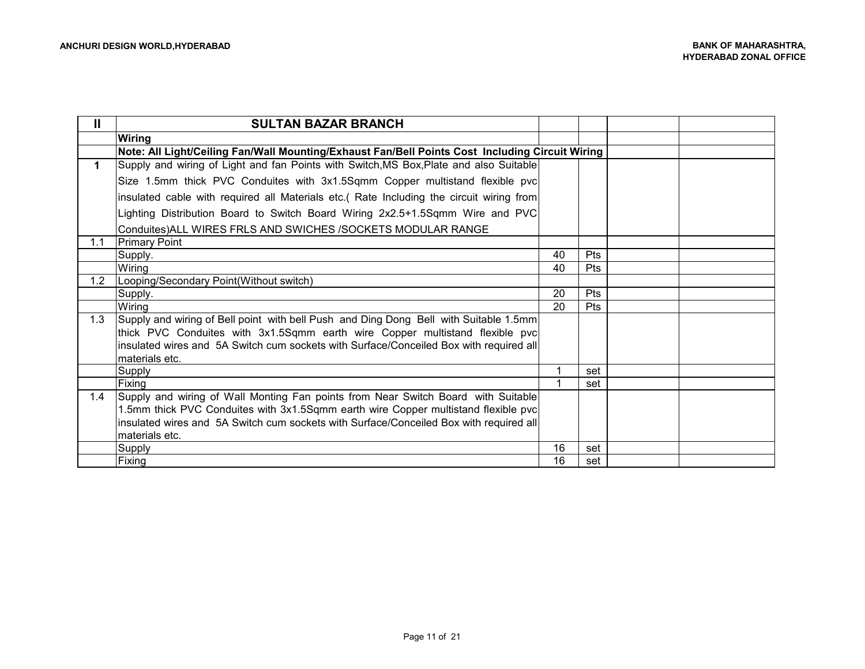| Ш   | <b>SULTAN BAZAR BRANCH</b>                                                                      |    |     |  |
|-----|-------------------------------------------------------------------------------------------------|----|-----|--|
|     | <b>Wiring</b>                                                                                   |    |     |  |
|     | Note: All Light/Ceiling Fan/Wall Mounting/Exhaust Fan/Bell Points Cost Including Circuit Wiring |    |     |  |
| 1   | Supply and wiring of Light and fan Points with Switch, MS Box, Plate and also Suitable          |    |     |  |
|     | Size 1.5mm thick PVC Conduites with 3x1.5Sqmm Copper multistand flexible pvc                    |    |     |  |
|     | insulated cable with required all Materials etc. (Rate Including the circuit wiring from        |    |     |  |
|     | lighting Distribution Board to Switch Board Wiring 2x2.5+1.5Sqmm Wire and PVC                   |    |     |  |
|     | Conduites) ALL WIRES FRLS AND SWICHES / SOCKETS MODULAR RANGE                                   |    |     |  |
| 1.1 | <b>Primary Point</b>                                                                            |    |     |  |
|     | Supply.                                                                                         | 40 | Pts |  |
|     | Wiring                                                                                          | 40 | Pts |  |
| 1.2 | Looping/Secondary Point(Without switch)                                                         |    |     |  |
|     | Supply.                                                                                         | 20 | Pts |  |
|     | Wiring                                                                                          | 20 | Pts |  |
| 1.3 | Supply and wiring of Bell point with bell Push and Ding Dong Bell with Suitable 1.5mm           |    |     |  |
|     | thick PVC Conduites with 3x1.5Sqmm earth wire Copper multistand flexible pvc                    |    |     |  |
|     | insulated wires and 5A Switch cum sockets with Surface/Conceiled Box with required all          |    |     |  |
|     | Imaterials etc.                                                                                 |    |     |  |
|     | Supply                                                                                          |    | set |  |
|     | Fixing                                                                                          |    | set |  |
| 1.4 | Supply and wiring of Wall Monting Fan points from Near Switch Board with Suitable               |    |     |  |
|     | 1.5mm thick PVC Conduites with 3x1.5Sqmm earth wire Copper multistand flexible pvc              |    |     |  |
|     | insulated wires and 5A Switch cum sockets with Surface/Conceiled Box with required all          |    |     |  |
|     | materials etc.                                                                                  |    |     |  |
|     | <b>Supply</b>                                                                                   | 16 | set |  |
|     | Fixing                                                                                          | 16 | set |  |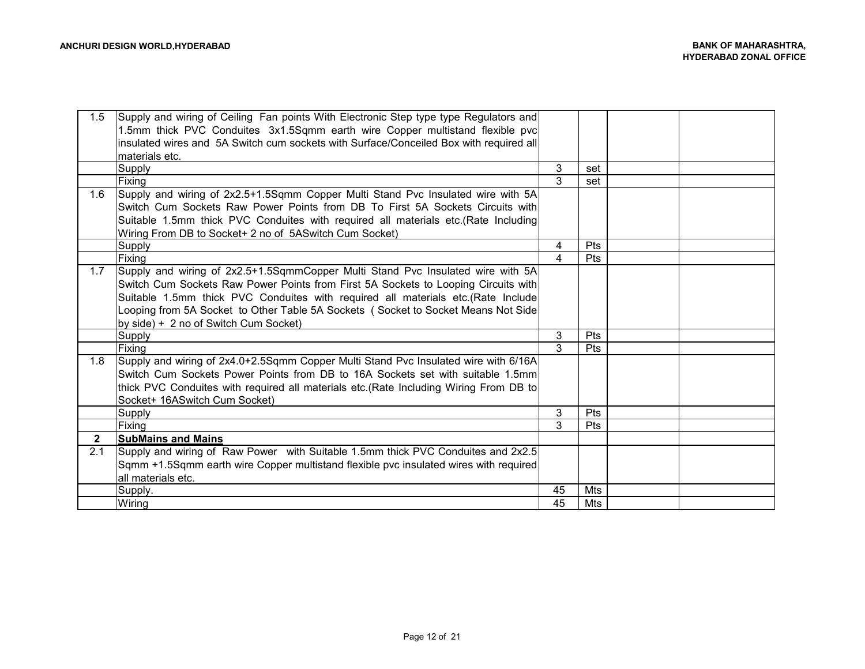| 1.5            | Supply and wiring of Ceiling Fan points With Electronic Step type type Regulators and  |               |            |  |
|----------------|----------------------------------------------------------------------------------------|---------------|------------|--|
|                | 1.5mm thick PVC Conduites 3x1.5Sqmm earth wire Copper multistand flexible pvc          |               |            |  |
|                | insulated wires and 5A Switch cum sockets with Surface/Conceiled Box with required all |               |            |  |
|                | materials etc.                                                                         |               |            |  |
|                | Supply                                                                                 | 3             | set        |  |
|                | Fixing                                                                                 | $\mathcal{R}$ | set        |  |
| 1.6            | Supply and wiring of 2x2.5+1.5Sqmm Copper Multi Stand Pvc Insulated wire with 5A       |               |            |  |
|                | Switch Cum Sockets Raw Power Points from DB To First 5A Sockets Circuits with          |               |            |  |
|                | Suitable 1.5mm thick PVC Conduites with required all materials etc. (Rate Including    |               |            |  |
|                | Wiring From DB to Socket+ 2 no of 5ASwitch Cum Socket)                                 |               |            |  |
|                | <b>Supply</b>                                                                          | 4             | Pts        |  |
|                | Fixing                                                                                 | 4             | <b>Pts</b> |  |
| 1.7            | Supply and wiring of 2x2.5+1.5SqmmCopper Multi Stand Pvc Insulated wire with 5A        |               |            |  |
|                | Switch Cum Sockets Raw Power Points from First 5A Sockets to Looping Circuits with     |               |            |  |
|                | Suitable 1.5mm thick PVC Conduites with required all materials etc.(Rate Include       |               |            |  |
|                | Looping from 5A Socket to Other Table 5A Sockets (Socket to Socket Means Not Side      |               |            |  |
|                | by side) + 2 no of Switch Cum Socket)                                                  |               |            |  |
|                | <b>Supply</b>                                                                          | 3             | <b>Pts</b> |  |
|                | Fixing                                                                                 | 3             | Pts        |  |
| 1.8            | Supply and wiring of 2x4.0+2.5Sqmm Copper Multi Stand Pvc Insulated wire with 6/16A    |               |            |  |
|                | Switch Cum Sockets Power Points from DB to 16A Sockets set with suitable 1.5mml        |               |            |  |
|                | thick PVC Conduites with required all materials etc.(Rate Including Wiring From DB to  |               |            |  |
|                | Socket+ 16AS witch Cum Socket)                                                         |               |            |  |
|                | Supply                                                                                 | 3             | Pts        |  |
|                | Fixing                                                                                 | 3             | <b>Pts</b> |  |
| $\overline{2}$ | <b>SubMains and Mains</b>                                                              |               |            |  |
| 2.1            | Supply and wiring of Raw Power with Suitable 1.5mm thick PVC Conduites and 2x2.5       |               |            |  |
|                | Sqmm +1.5Sqmm earth wire Copper multistand flexible pvc insulated wires with required  |               |            |  |
|                | all materials etc.                                                                     |               |            |  |
|                | Supply.                                                                                | 45            | Mts        |  |
|                | Wiring                                                                                 | 45            | <b>Mts</b> |  |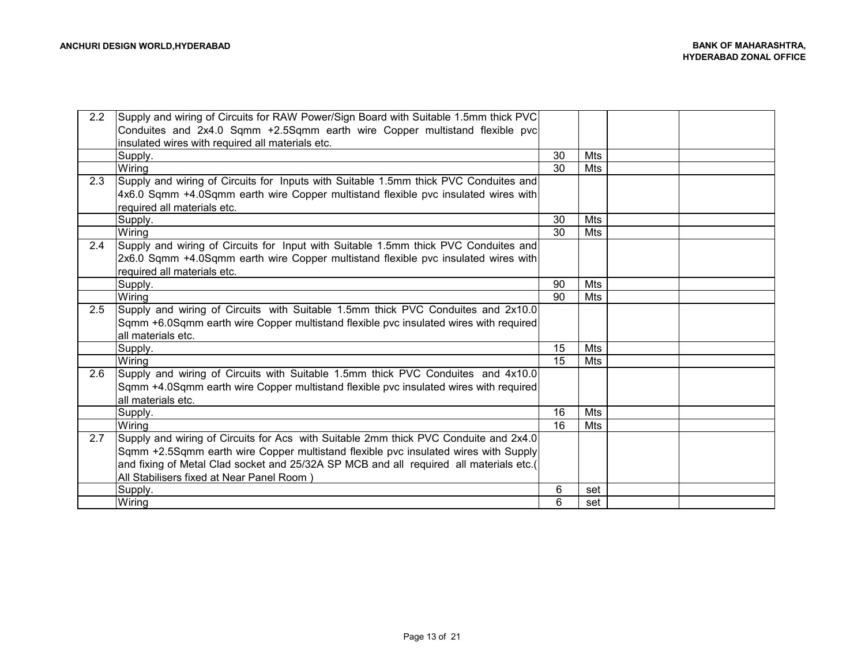| 2.2 | Supply and wiring of Circuits for RAW Power/Sign Board with Suitable 1.5mm thick PVC   |    |     |  |
|-----|----------------------------------------------------------------------------------------|----|-----|--|
|     | Conduites and 2x4.0 Sqmm +2.5Sqmm earth wire Copper multistand flexible pvc            |    |     |  |
|     | insulated wires with required all materials etc.                                       |    |     |  |
|     | Supply.                                                                                | 30 | Mts |  |
|     | Wiring                                                                                 | 30 | Mts |  |
| 2.3 | Supply and wiring of Circuits for Inputs with Suitable 1.5mm thick PVC Conduites and   |    |     |  |
|     | 4x6.0 Sqmm +4.0Sqmm earth wire Copper multistand flexible pvc insulated wires with     |    |     |  |
|     | required all materials etc.                                                            |    |     |  |
|     | Supply.                                                                                | 30 | Mts |  |
|     | Wiring                                                                                 | 30 | Mts |  |
| 2.4 | Supply and wiring of Circuits for Input with Suitable 1.5mm thick PVC Conduites and    |    |     |  |
|     | 2x6.0 Sqmm +4.0Sqmm earth wire Copper multistand flexible pvc insulated wires with     |    |     |  |
|     | required all materials etc.                                                            |    |     |  |
|     | Supply.                                                                                | 90 | Mts |  |
|     | Wiring                                                                                 | 90 | Mts |  |
| 2.5 | Supply and wiring of Circuits with Suitable 1.5mm thick PVC Conduites and 2x10.0       |    |     |  |
|     | Sqmm +6.0Sqmm earth wire Copper multistand flexible pvc insulated wires with required  |    |     |  |
|     | all materials etc.                                                                     |    |     |  |
|     | Supply.                                                                                | 15 | Mts |  |
|     | Wiring                                                                                 | 15 | Mts |  |
| 2.6 | Supply and wiring of Circuits with Suitable 1.5mm thick PVC Conduites and 4x10.0       |    |     |  |
|     | Sqmm +4.0Sqmm earth wire Copper multistand flexible pvc insulated wires with required  |    |     |  |
|     | all materials etc.                                                                     |    |     |  |
|     | Supply.                                                                                | 16 | Mts |  |
|     | Wiring                                                                                 | 16 | Mts |  |
| 2.7 | Supply and wiring of Circuits for Acs with Suitable 2mm thick PVC Conduite and 2x4.0   |    |     |  |
|     | Sqmm +2.5Sqmm earth wire Copper multistand flexible pvc insulated wires with Supply    |    |     |  |
|     | and fixing of Metal Clad socket and 25/32A SP MCB and all required all materials etc.( |    |     |  |
|     | All Stabilisers fixed at Near Panel Room)                                              |    |     |  |
|     | Supply.                                                                                | 6  | set |  |
|     | Wiring                                                                                 | 6  | set |  |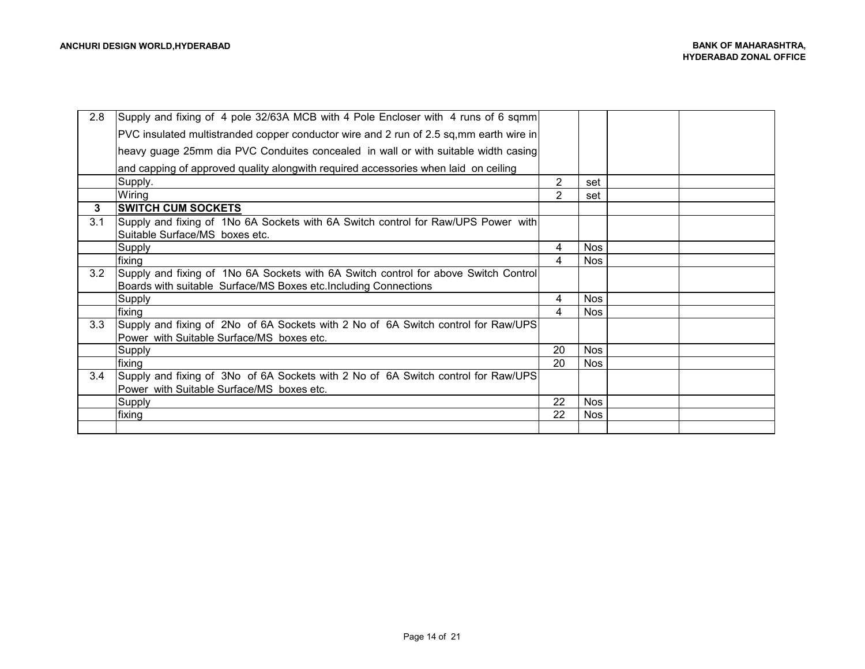| 2.8              | Supply and fixing of 4 pole 32/63A MCB with 4 Pole Encloser with 4 runs of 6 sqmm                                   |    |            |  |
|------------------|---------------------------------------------------------------------------------------------------------------------|----|------------|--|
|                  | PVC insulated multistranded copper conductor wire and 2 run of 2.5 sq, mm earth wire in                             |    |            |  |
|                  | heavy guage 25mm dia PVC Conduites concealed in wall or with suitable width casing                                  |    |            |  |
|                  | and capping of approved quality alongwith required accessories when laid on ceiling                                 |    |            |  |
|                  | Supply.                                                                                                             | 2  | set        |  |
|                  | Wiring                                                                                                              |    | set        |  |
| 3                | <b>SWITCH CUM SOCKETS</b>                                                                                           |    |            |  |
| 3.1              | Supply and fixing of 1No 6A Sockets with 6A Switch control for Raw/UPS Power with<br>Suitable Surface/MS boxes etc. |    |            |  |
|                  | Supply                                                                                                              | 4  | <b>Nos</b> |  |
|                  | fixing                                                                                                              | 4  | Nos        |  |
| 3.2              | Supply and fixing of 1No 6A Sockets with 6A Switch control for above Switch Control                                 |    |            |  |
|                  | Boards with suitable Surface/MS Boxes etc. Including Connections                                                    |    |            |  |
|                  | Supply                                                                                                              | 4  | Nos        |  |
|                  | fixing                                                                                                              | 4  | <b>Nos</b> |  |
| 3.3 <sub>2</sub> | Supply and fixing of 2No of 6A Sockets with 2 No of 6A Switch control for Raw/UPS                                   |    |            |  |
|                  | Power with Suitable Surface/MS boxes etc.                                                                           |    |            |  |
|                  | Supply                                                                                                              | 20 | <b>Nos</b> |  |
|                  | fixing                                                                                                              | 20 | <b>Nos</b> |  |
| 3.4              | Supply and fixing of 3No of 6A Sockets with 2 No of 6A Switch control for Raw/UPS                                   |    |            |  |
|                  | Power with Suitable Surface/MS boxes etc.                                                                           |    |            |  |
|                  | Supply                                                                                                              | 22 | <b>Nos</b> |  |
|                  | fixing                                                                                                              | 22 | <b>Nos</b> |  |
|                  |                                                                                                                     |    |            |  |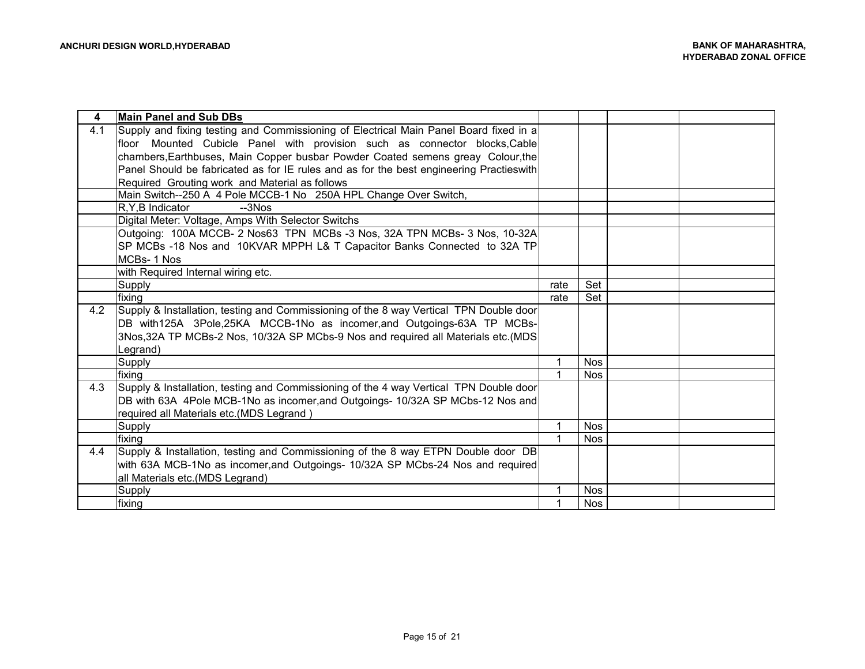| 4   | <b>Main Panel and Sub DBs</b>                                                           |      |            |  |
|-----|-----------------------------------------------------------------------------------------|------|------------|--|
| 4.1 | Supply and fixing testing and Commissioning of Electrical Main Panel Board fixed in a   |      |            |  |
|     | floor Mounted Cubicle Panel with provision such as connector blocks, Cable              |      |            |  |
|     | chambers, Earthbuses, Main Copper busbar Powder Coated semens greay Colour, the         |      |            |  |
|     | Panel Should be fabricated as for IE rules and as for the best engineering Practieswith |      |            |  |
|     | Required Grouting work and Material as follows                                          |      |            |  |
|     | Main Switch--250 A 4 Pole MCCB-1 No 250A HPL Change Over Switch,                        |      |            |  |
|     | R.Y.B Indicator<br>$-3NOS$                                                              |      |            |  |
|     | Digital Meter: Voltage, Amps With Selector Switchs                                      |      |            |  |
|     | Outgoing: 100A MCCB- 2 Nos63 TPN MCBs -3 Nos, 32A TPN MCBs- 3 Nos, 10-32A               |      |            |  |
|     | SP MCBs -18 Nos and 10KVAR MPPH L& T Capacitor Banks Connected to 32A TP                |      |            |  |
|     | MCBs-1 Nos                                                                              |      |            |  |
|     | with Required Internal wiring etc.                                                      |      |            |  |
|     | Supply                                                                                  | rate | Set        |  |
|     | fixing                                                                                  | rate | Set        |  |
| 4.2 | Supply & Installation, testing and Commissioning of the 8 way Vertical TPN Double door  |      |            |  |
|     | DB with125A 3Pole,25KA MCCB-1No as incomer, and Outgoings-63A TP MCBs-                  |      |            |  |
|     | 3Nos, 32A TP MCBs-2 Nos, 10/32A SP MCbs-9 Nos and required all Materials etc. (MDS      |      |            |  |
|     | Legrand)                                                                                |      |            |  |
|     | Supply                                                                                  |      | <b>Nos</b> |  |
|     | fixing                                                                                  |      | <b>Nos</b> |  |
| 4.3 | Supply & Installation, testing and Commissioning of the 4 way Vertical TPN Double door  |      |            |  |
|     | DB with 63A 4Pole MCB-1No as incomer, and Outgoings- 10/32A SP MCbs-12 Nos and          |      |            |  |
|     | required all Materials etc.(MDS Legrand)                                                |      |            |  |
|     | Supply                                                                                  |      | <b>Nos</b> |  |
|     | fixing                                                                                  |      | <b>Nos</b> |  |
| 4.4 | Supply & Installation, testing and Commissioning of the 8 way ETPN Double door DB       |      |            |  |
|     | with 63A MCB-1No as incomer, and Outgoings- 10/32A SP MCbs-24 Nos and required          |      |            |  |
|     | all Materials etc.(MDS Legrand)                                                         |      |            |  |
|     | <b>Supply</b>                                                                           |      | <b>Nos</b> |  |
|     | fixing                                                                                  |      | <b>Nos</b> |  |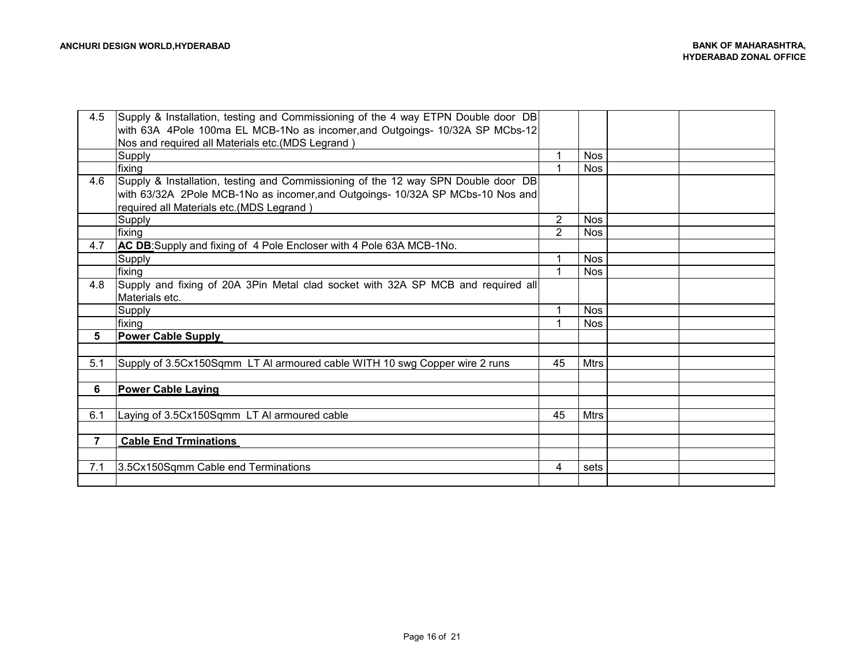| 4.5            | Supply & Installation, testing and Commissioning of the 4 way ETPN Double door DB |                |             |  |
|----------------|-----------------------------------------------------------------------------------|----------------|-------------|--|
|                | with 63A 4Pole 100ma EL MCB-1No as incomer, and Outgoings- 10/32A SP MCbs-12      |                |             |  |
|                | Nos and required all Materials etc.(MDS Legrand)                                  |                |             |  |
|                | Supply                                                                            |                | <b>Nos</b>  |  |
|                | fixing                                                                            |                | <b>Nos</b>  |  |
| 4.6            | Supply & Installation, testing and Commissioning of the 12 way SPN Double door DB |                |             |  |
|                | with 63/32A 2Pole MCB-1No as incomer, and Outgoings- 10/32A SP MCbs-10 Nos and    |                |             |  |
|                | required all Materials etc.(MDS Legrand)                                          |                |             |  |
|                | <b>Supply</b>                                                                     | $\overline{2}$ | <b>Nos</b>  |  |
|                | fixing                                                                            | $\mathcal{P}$  | <b>Nos</b>  |  |
| 4.7            | AC DB: Supply and fixing of 4 Pole Encloser with 4 Pole 63A MCB-1No.              |                |             |  |
|                | Supply                                                                            |                | <b>Nos</b>  |  |
|                | fixing                                                                            |                | <b>Nos</b>  |  |
| 4.8            | Supply and fixing of 20A 3Pin Metal clad socket with 32A SP MCB and required all  |                |             |  |
|                | Materials etc.                                                                    |                |             |  |
|                | Supply                                                                            |                | <b>Nos</b>  |  |
|                | fixing                                                                            |                | <b>Nos</b>  |  |
| 5              | <b>Power Cable Supply</b>                                                         |                |             |  |
|                |                                                                                   |                |             |  |
| 5.1            | Supply of 3.5Cx150Sqmm LT AI armoured cable WITH 10 swg Copper wire 2 runs        | 45             | Mtrs        |  |
|                |                                                                                   |                |             |  |
| 6              | <b>Power Cable Laying</b>                                                         |                |             |  |
|                |                                                                                   |                |             |  |
| 6.1            | Laying of 3.5Cx150Sqmm LT AI armoured cable                                       | 45             | <b>Mtrs</b> |  |
|                |                                                                                   |                |             |  |
| $\overline{7}$ | <b>Cable End Trminations</b>                                                      |                |             |  |
|                |                                                                                   |                |             |  |
| 7.1            | 3.5Cx150Sqmm Cable end Terminations                                               | 4              | sets        |  |
|                |                                                                                   |                |             |  |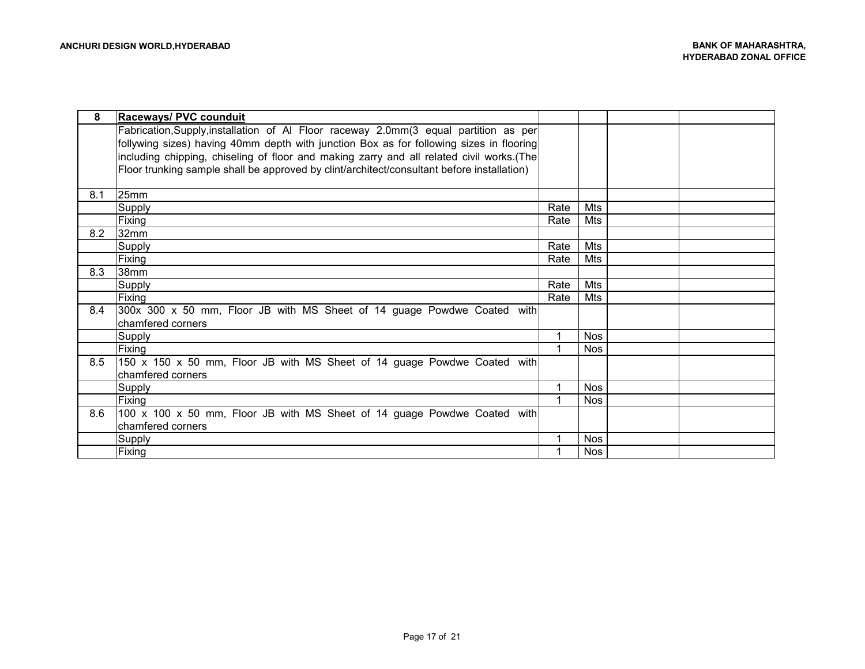| 8   | Raceways/ PVC counduit                                                                     |      |            |  |
|-----|--------------------------------------------------------------------------------------------|------|------------|--|
|     | Fabrication, Supply, installation of AI Floor raceway 2.0mm(3 equal partition as per       |      |            |  |
|     | follywing sizes) having 40mm depth with junction Box as for following sizes in flooring    |      |            |  |
|     | including chipping, chiseling of floor and making zarry and all related civil works.(The   |      |            |  |
|     | Floor trunking sample shall be approved by clint/architect/consultant before installation) |      |            |  |
|     |                                                                                            |      |            |  |
| 8.1 | 25mm                                                                                       |      |            |  |
|     | Supply                                                                                     | Rate | Mts        |  |
|     | <b>Fixing</b>                                                                              | Rate | Mts        |  |
| 8.2 | 132mm                                                                                      |      |            |  |
|     | Supply                                                                                     | Rate | <b>Mts</b> |  |
|     | Fixing                                                                                     | Rate | Mts        |  |
| 8.3 | 38mm                                                                                       |      |            |  |
|     | Supply                                                                                     | Rate | Mts        |  |
|     | Fixing                                                                                     | Rate | Mts        |  |
| 8.4 | 300x 300 x 50 mm, Floor JB with MS Sheet of 14 guage Powdwe Coated with                    |      |            |  |
|     | chamfered corners                                                                          |      |            |  |
|     | <b>Supply</b>                                                                              |      | <b>Nos</b> |  |
|     | Fixing                                                                                     |      | <b>Nos</b> |  |
| 8.5 | 150 x 150 x 50 mm, Floor JB with MS Sheet of 14 guage Powdwe Coated with                   |      |            |  |
|     | chamfered corners                                                                          |      |            |  |
|     | Supply                                                                                     |      | <b>Nos</b> |  |
|     | Fixing                                                                                     |      | <b>Nos</b> |  |
| 8.6 | 100 x 100 x 50 mm, Floor JB with MS Sheet of 14 guage Powdwe Coated with                   |      |            |  |
|     | chamfered corners                                                                          |      |            |  |
|     | Supply                                                                                     |      | <b>Nos</b> |  |
|     | Fixing                                                                                     |      | <b>Nos</b> |  |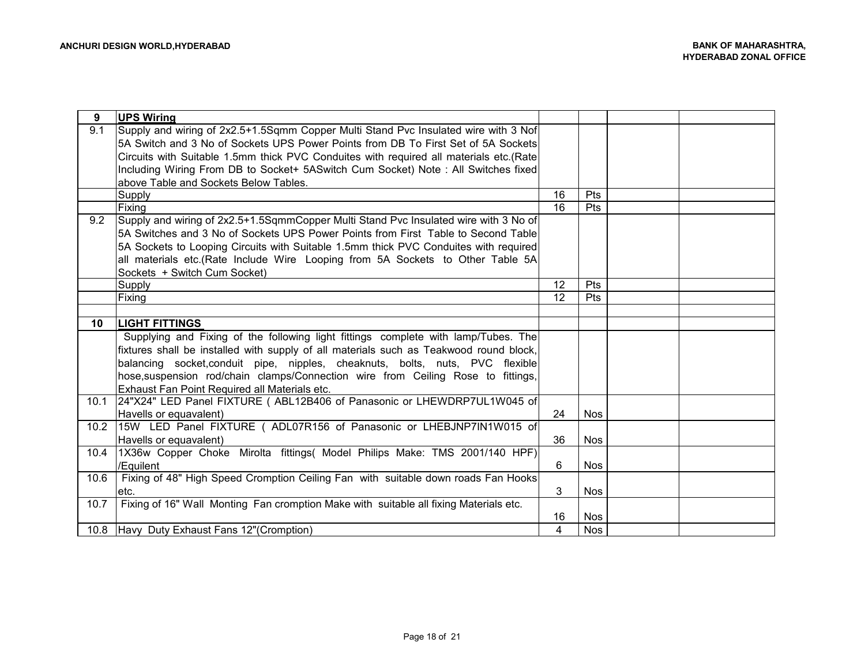| 9    | <b>UPS Wiring</b>                                                                      |    |            |  |
|------|----------------------------------------------------------------------------------------|----|------------|--|
| 9.1  | Supply and wiring of 2x2.5+1.5Sqmm Copper Multi Stand Pvc Insulated wire with 3 Nof    |    |            |  |
|      | 5A Switch and 3 No of Sockets UPS Power Points from DB To First Set of 5A Sockets      |    |            |  |
|      | Circuits with Suitable 1.5mm thick PVC Conduites with required all materials etc.(Rate |    |            |  |
|      | Including Wiring From DB to Socket+ 5ASwitch Cum Socket) Note: All Switches fixed      |    |            |  |
|      | above Table and Sockets Below Tables.                                                  |    |            |  |
|      | Supply                                                                                 | 16 | <b>Pts</b> |  |
|      | Fixing                                                                                 | 16 | <b>Pts</b> |  |
| 9.2  | Supply and wiring of 2x2.5+1.5SqmmCopper Multi Stand Pvc Insulated wire with 3 No of   |    |            |  |
|      | 5A Switches and 3 No of Sockets UPS Power Points from First Table to Second Table      |    |            |  |
|      | 5A Sockets to Looping Circuits with Suitable 1.5mm thick PVC Conduites with required   |    |            |  |
|      | all materials etc.(Rate Include Wire Looping from 5A Sockets to Other Table 5A         |    |            |  |
|      | Sockets + Switch Cum Socket)                                                           |    |            |  |
|      | Supply                                                                                 | 12 | Pts        |  |
|      | Fixing                                                                                 | 12 | <b>Pts</b> |  |
|      |                                                                                        |    |            |  |
| 10   | <b>LIGHT FITTINGS</b>                                                                  |    |            |  |
|      | Supplying and Fixing of the following light fittings complete with lamp/Tubes. The     |    |            |  |
|      | fixtures shall be installed with supply of all materials such as Teakwood round block, |    |            |  |
|      | balancing socket, conduit pipe, nipples, cheaknuts, bolts, nuts, PVC flexible          |    |            |  |
|      | hose, suspension rod/chain clamps/Connection wire from Ceiling Rose to fittings,       |    |            |  |
|      | Exhaust Fan Point Required all Materials etc.                                          |    |            |  |
| 10.1 | 24"X24" LED Panel FIXTURE ( ABL12B406 of Panasonic or LHEWDRP7UL1W045 of               |    |            |  |
|      | Havells or equavalent)                                                                 | 24 | <b>Nos</b> |  |
|      | 10.2   15W LED Panel FIXTURE ( ADL07R156 of Panasonic or LHEBJNP7IN1W015 of            |    |            |  |
|      | Havells or equavalent)                                                                 | 36 | <b>Nos</b> |  |
| 10.4 | [1X36w Copper Choke Mirolta fittings( Model Philips Make: TMS 2001/140 HPF)]           |    |            |  |
|      | /Equilent                                                                              | 6  | <b>Nos</b> |  |
| 10.6 | Fixing of 48" High Speed Cromption Ceiling Fan with suitable down roads Fan Hooks      |    |            |  |
|      | etc.                                                                                   | 3  | <b>Nos</b> |  |
| 10.7 | Fixing of 16" Wall Monting Fan cromption Make with suitable all fixing Materials etc.  |    |            |  |
|      |                                                                                        | 16 | <b>Nos</b> |  |
|      | 10.8 Havy Duty Exhaust Fans 12" (Cromption)                                            | 4  | <b>Nos</b> |  |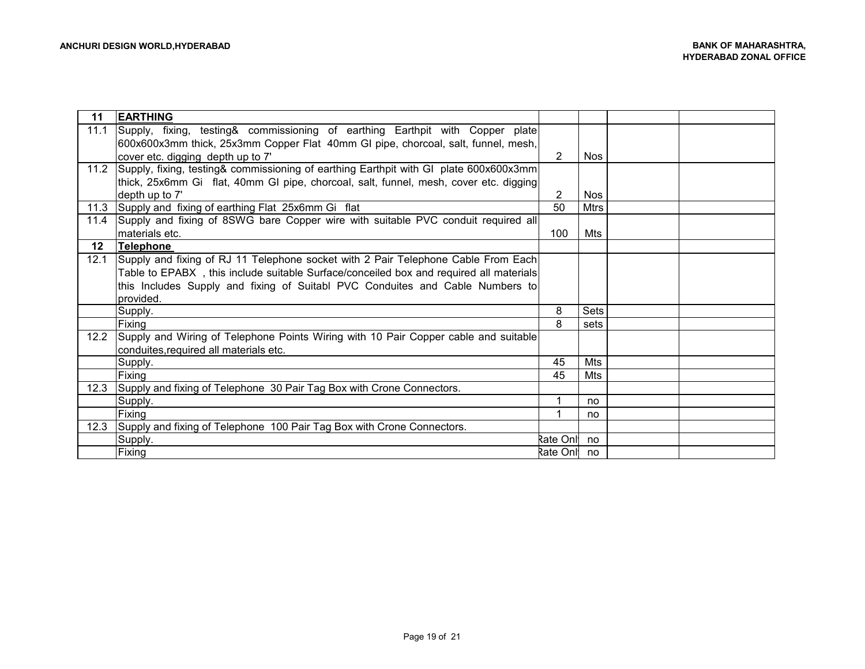| 11   | <b>EARTHING</b>                                                                        |               |             |  |
|------|----------------------------------------------------------------------------------------|---------------|-------------|--|
| 11.1 | Supply, fixing, testing& commissioning of earthing Earthpit with Copper plate          |               |             |  |
|      | 600x600x3mm thick, 25x3mm Copper Flat 40mm GI pipe, chorcoal, salt, funnel, mesh,      |               |             |  |
|      | cover etc. digging depth up to 7'                                                      | $\mathcal{P}$ | Nos         |  |
| 11.2 | Supply, fixing, testing& commissioning of earthing Earthpit with GI plate 600x600x3mm  |               |             |  |
|      | thick, 25x6mm Gi flat, 40mm GI pipe, chorcoal, salt, funnel, mesh, cover etc. digging  |               |             |  |
|      | depth up to 7'                                                                         | 2             | <b>Nos</b>  |  |
| 11.3 | Supply and fixing of earthing Flat 25x6mm Gi flat                                      | 50            | <b>Mtrs</b> |  |
| 11.4 | Supply and fixing of 8SWG bare Copper wire with suitable PVC conduit required all      |               |             |  |
|      | materials etc.                                                                         | 100           | Mts         |  |
| 12   | <b>Telephone</b>                                                                       |               |             |  |
| 12.1 | Supply and fixing of RJ 11 Telephone socket with 2 Pair Telephone Cable From Each      |               |             |  |
|      | Table to EPABX, this include suitable Surface/conceiled box and required all materials |               |             |  |
|      | this Includes Supply and fixing of Suitabl PVC Conduites and Cable Numbers to          |               |             |  |
|      | provided.                                                                              |               |             |  |
|      | Supply.                                                                                | 8             | Sets        |  |
|      | Fixing                                                                                 | 8             | sets        |  |
| 12.2 | Supply and Wiring of Telephone Points Wiring with 10 Pair Copper cable and suitable    |               |             |  |
|      | conduites, required all materials etc.                                                 |               |             |  |
|      | Supply.                                                                                | 45            | Mts         |  |
|      | Fixing                                                                                 | 45            | Mts         |  |
| 12.3 | Supply and fixing of Telephone 30 Pair Tag Box with Crone Connectors.                  |               |             |  |
|      | Supply.                                                                                | 1             | no          |  |
|      | Fixing                                                                                 |               | no          |  |
| 12.3 | Supply and fixing of Telephone 100 Pair Tag Box with Crone Connectors.                 |               |             |  |
|      | Supply.                                                                                | Rate Onl no   |             |  |
|      | Fixing                                                                                 | Rate Onl      | no          |  |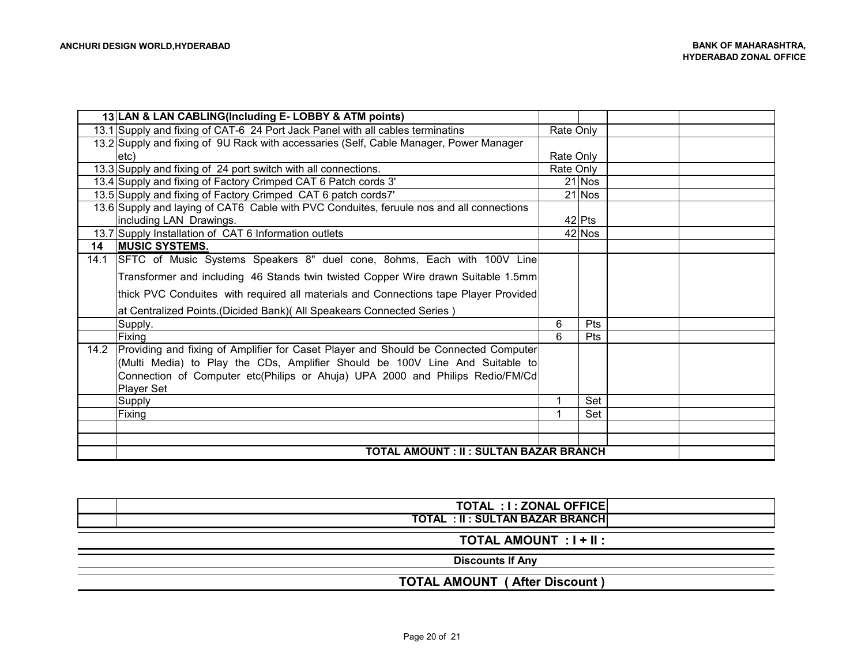|      | 13 LAN & LAN CABLING(Including E-LOBBY & ATM points)                                     |           |            |  |
|------|------------------------------------------------------------------------------------------|-----------|------------|--|
|      | 13.1 Supply and fixing of CAT-6 24 Port Jack Panel with all cables terminatins           | Rate Only |            |  |
|      | 13.2 Supply and fixing of 9U Rack with accessaries (Self, Cable Manager, Power Manager   |           |            |  |
|      | letc)                                                                                    | Rate Only |            |  |
|      | 13.3 Supply and fixing of 24 port switch with all connections.                           | Rate Only |            |  |
|      | 13.4 Supply and fixing of Factory Crimped CAT 6 Patch cords 3'                           |           | 21 Nos     |  |
|      | 13.5 Supply and fixing of Factory Crimped CAT 6 patch cords7'                            |           | 21 Nos     |  |
|      | 13.6 Supply and laying of CAT6 Cable with PVC Conduites, feruule nos and all connections |           |            |  |
|      | including LAN Drawings.                                                                  |           | $42$ Pts   |  |
|      | 13.7 Supply Installation of CAT 6 Information outlets                                    |           | 42 Nos     |  |
| 14   | <b>MUSIC SYSTEMS.</b>                                                                    |           |            |  |
| 14.1 | SFTC of Music Systems Speakers 8" duel cone, 80hms, Each with 100V Line                  |           |            |  |
|      | Transformer and including 46 Stands twin twisted Copper Wire drawn Suitable 1.5mm        |           |            |  |
|      | thick PVC Conduites with required all materials and Connections tape Player Provided     |           |            |  |
|      | at Centralized Points. (Dicided Bank) (All Speakears Connected Series)                   |           |            |  |
|      | Supply.                                                                                  | 6         | <b>Pts</b> |  |
|      | Fixing                                                                                   | 6         | <b>Pts</b> |  |
|      | 14.2 Providing and fixing of Amplifier for Caset Player and Should be Connected Computer |           |            |  |
|      | (Multi Media) to Play the CDs, Amplifier Should be 100V Line And Suitable to             |           |            |  |
|      | Connection of Computer etc(Philips or Ahuja) UPA 2000 and Philips Redio/FM/Cd            |           |            |  |
|      | <b>Player Set</b>                                                                        |           |            |  |
|      | Supply                                                                                   |           | Set        |  |
|      | Fixing                                                                                   |           | Set        |  |
|      |                                                                                          |           |            |  |
|      |                                                                                          |           |            |  |
|      | <b>TOTAL AMOUNT : II : SULTAN BAZAR BRANCH</b>                                           |           |            |  |

| TOTAL : I : ZONAL OFFICE<br><b>TOTAL : II : SULTAN BAZAR BRANCH</b> |
|---------------------------------------------------------------------|
| TOTAL AMOUNT : I + II :                                             |
| <b>Discounts If Any</b>                                             |
| <b>TOTAL AMOUNT (After Discount)</b>                                |